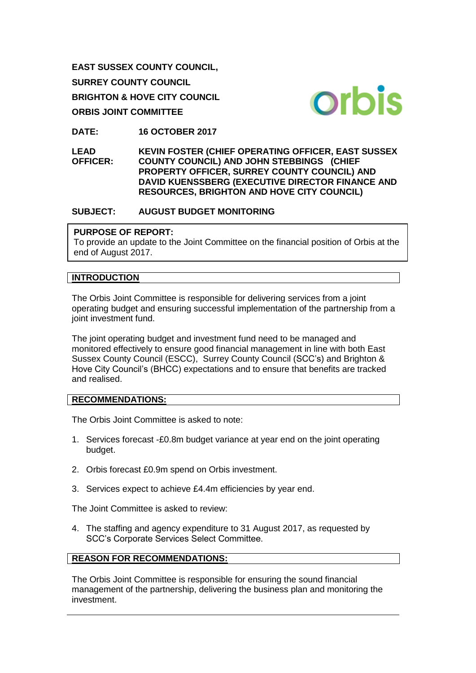**EAST SUSSEX COUNTY COUNCIL, SURREY COUNTY COUNCIL BRIGHTON & HOVE CITY COUNCIL ORBIS JOINT COMMITTEE**



**DATE: 16 OCTOBER 2017**

**LEAD OFFICER: KEVIN FOSTER (CHIEF OPERATING OFFICER, EAST SUSSEX COUNTY COUNCIL) AND JOHN STEBBINGS (CHIEF PROPERTY OFFICER, SURREY COUNTY COUNCIL) AND DAVID KUENSSBERG (EXECUTIVE DIRECTOR FINANCE AND RESOURCES, BRIGHTON AND HOVE CITY COUNCIL)** 

#### **SUBJECT: AUGUST BUDGET MONITORING**

#### **PURPOSE OF REPORT:**

To provide an update to the Joint Committee on the financial position of Orbis at the end of August 2017.

#### **INTRODUCTION**

The Orbis Joint Committee is responsible for delivering services from a joint operating budget and ensuring successful implementation of the partnership from a joint investment fund.

The joint operating budget and investment fund need to be managed and monitored effectively to ensure good financial management in line with both East Sussex County Council (ESCC), Surrey County Council (SCC's) and Brighton & Hove City Council's (BHCC) expectations and to ensure that benefits are tracked and realised.

#### **RECOMMENDATIONS:**

The Orbis Joint Committee is asked to note:

- 1. Services forecast -£0.8m budget variance at year end on the joint operating budget.
- 2. Orbis forecast £0.9m spend on Orbis investment.
- 3. Services expect to achieve £4.4m efficiencies by year end.

The Joint Committee is asked to review:

4. The staffing and agency expenditure to 31 August 2017, as requested by SCC's Corporate Services Select Committee.

## **REASON FOR RECOMMENDATIONS:**

The Orbis Joint Committee is responsible for ensuring the sound financial management of the partnership, delivering the business plan and monitoring the investment.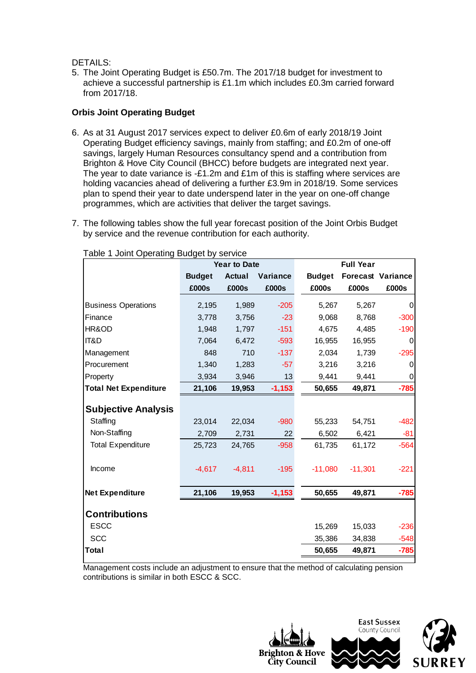DETAILS:

5. The Joint Operating Budget is £50.7m. The 2017/18 budget for investment to achieve a successful partnership is £1.1m which includes £0.3m carried forward from 2017/18.

### **Orbis Joint Operating Budget**

- 6. As at 31 August 2017 services expect to deliver £0.6m of early 2018/19 Joint Operating Budget efficiency savings, mainly from staffing; and £0.2m of one-off savings, largely Human Resources consultancy spend and a contribution from Brighton & Hove City Council (BHCC) before budgets are integrated next year. The year to date variance is -£1.2m and £1m of this is staffing where services are holding vacancies ahead of delivering a further £3.9m in 2018/19. Some services plan to spend their year to date underspend later in the year on one-off change programmes, which are activities that deliver the target savings.
- 7. The following tables show the full year forecast position of the Joint Orbis Budget by service and the revenue contribution for each authority.

|                              | <b>Year to Date</b> |               |          | <b>Full Year</b> |           |                          |
|------------------------------|---------------------|---------------|----------|------------------|-----------|--------------------------|
|                              | <b>Budget</b>       | <b>Actual</b> | Variance | <b>Budget</b>    |           | <b>Forecast Variance</b> |
|                              | £000s               | £000s         | £000s    | £000s            | £000s     | £000s                    |
| <b>Business Operations</b>   | 2,195               | 1,989         | $-205$   | 5,267            | 5,267     | 0                        |
| Finance                      | 3,778               | 3,756         | $-23$    | 9,068            | 8,768     | $-300$                   |
| HR&OD                        | 1,948               | 1,797         | $-151$   | 4,675            | 4,485     | $-190$                   |
| <b>IT&amp;D</b>              | 7,064               | 6,472         | $-593$   | 16,955           | 16,955    | 0                        |
| Management                   | 848                 | 710           | $-137$   | 2,034            | 1,739     | $-295$                   |
| Procurement                  | 1,340               | 1,283         | $-57$    | 3,216            | 3,216     | 0                        |
| Property                     | 3,934               | 3,946         | 13       | 9,441            | 9,441     | 0                        |
| <b>Total Net Expenditure</b> | 21,106              | 19,953        | $-1,153$ | 50,655           | 49,871    | $-785$                   |
| <b>Subjective Analysis</b>   |                     |               |          |                  |           |                          |
| Staffing                     | 23,014              | 22,034        | $-980$   | 55,233           | 54,751    | $-482$                   |
| Non-Staffing                 | 2,709               | 2,731         | 22       | 6,502            | 6,421     | $-81$                    |
| <b>Total Expenditure</b>     | 25,723              | 24,765        | $-958$   | 61,735           | 61,172    | $-564$                   |
| Income                       | $-4,617$            | $-4,811$      | $-195$   | $-11,080$        | $-11,301$ | $-221$                   |
| <b>Net Expenditure</b>       | 21,106              | 19,953        | $-1,153$ | 50,655           | 49,871    | $-785$                   |
| <b>Contributions</b>         |                     |               |          |                  |           |                          |
| <b>ESCC</b>                  |                     |               |          | 15,269           | 15,033    | $-236$                   |
| <b>SCC</b>                   |                     |               |          | 35,386           | 34,838    | $-548$                   |
| Total                        |                     |               |          | 50,655           | 49,871    | $-785$                   |

Table 1 Joint Operating Budget by service

Management costs include an adjustment to ensure that the method of calculating pension contributions is similar in both ESCC & SCC.

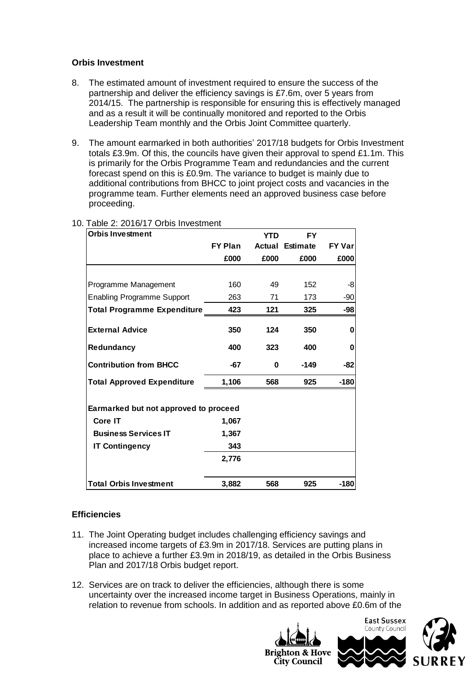## **Orbis Investment**

- 8. The estimated amount of investment required to ensure the success of the partnership and deliver the efficiency savings is £7.6m, over 5 years from 2014/15. The partnership is responsible for ensuring this is effectively managed and as a result it will be continually monitored and reported to the Orbis Leadership Team monthly and the Orbis Joint Committee quarterly.
- 9. The amount earmarked in both authorities' 2017/18 budgets for Orbis Investment totals £3.9m. Of this, the councils have given their approval to spend £1.1m. This is primarily for the Orbis Programme Team and redundancies and the current forecast spend on this is £0.9m. The variance to budget is mainly due to additional contributions from BHCC to joint project costs and vacancies in the programme team. Further elements need an approved business case before proceeding.

| <b>Orbis Investment</b>               |                | <b>YTD</b> | FY       |               |  |  |  |
|---------------------------------------|----------------|------------|----------|---------------|--|--|--|
|                                       | <b>FY Plan</b> | Actual     | Estimate | <b>FY Var</b> |  |  |  |
|                                       | £000           | £000       | £000     | £000          |  |  |  |
|                                       |                |            |          |               |  |  |  |
| Programme Management                  | 160            | 49         | 152      | -8            |  |  |  |
| <b>Enabling Programme Support</b>     | 263            | 71         | 173      | -90           |  |  |  |
| <b>Total Programme Expenditure</b>    | 423            | 121        | 325      | -98           |  |  |  |
| <b>External Advice</b>                | 350            | 124        | 350      | 0             |  |  |  |
| Redundancy                            | 400            | 323        | 400      | 0             |  |  |  |
| <b>Contribution from BHCC</b>         | -67            | $\bf{0}$   | -149     | -82           |  |  |  |
| <b>Total Approved Expenditure</b>     | 1,106          | 568        | 925      | $-180$        |  |  |  |
| Earmarked but not approved to proceed |                |            |          |               |  |  |  |
| <b>Core IT</b>                        | 1,067          |            |          |               |  |  |  |
| <b>Business Services IT</b>           | 1,367          |            |          |               |  |  |  |
| <b>IT Contingency</b>                 | 343            |            |          |               |  |  |  |
|                                       | 2,776          |            |          |               |  |  |  |
| <b>Total Orbis Investment</b>         | 3,882          | 568        | 925      | $-180$        |  |  |  |

# 10. Table 2: 2016/17 Orbis Investment

#### **Efficiencies**

- 11. The Joint Operating budget includes challenging efficiency savings and increased income targets of £3.9m in 2017/18. Services are putting plans in place to achieve a further £3.9m in 2018/19, as detailed in the Orbis Business Plan and 2017/18 Orbis budget report.
- 12. Services are on track to deliver the efficiencies, although there is some uncertainty over the increased income target in Business Operations, mainly in relation to revenue from schools. In addition and as reported above £0.6m of the

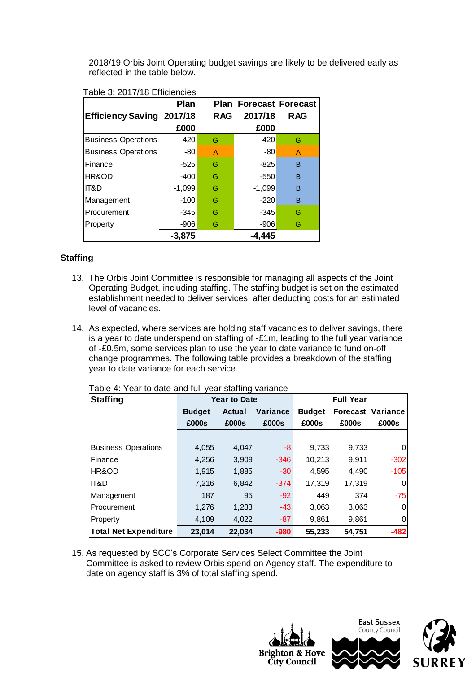2018/19 Orbis Joint Operating budget savings are likely to be delivered early as reflected in the table below.

|                                  | Plan     |            | <b>Plan Forecast Forecast</b> |            |
|----------------------------------|----------|------------|-------------------------------|------------|
| <b>Efficiency Saving 2017/18</b> |          | <b>RAG</b> | 2017/18                       | <b>RAG</b> |
|                                  | £000     |            | £000                          |            |
| <b>Business Operations</b>       | -420     | G          | $-420$                        | G          |
| <b>Business Operations</b>       | -80      | A          | -80                           | A          |
| Finance                          | $-525$   | G          | $-825$                        | B          |
| HR&OD                            | $-400$   | G          | $-550$                        | B          |
| IT&D                             | $-1,099$ | G          | $-1,099$                      | B          |
| Management                       | $-100$   | G          | $-220$                        | B          |
| Procurement                      | -345     | G          | -345                          | G          |
| Property                         | $-906$   | G          | $-906$                        | G          |
|                                  | $-3,875$ |            | -4.445                        |            |

#### Table 3: 2017/18 Efficiencies

## **Staffing**

- 13. The Orbis Joint Committee is responsible for managing all aspects of the Joint Operating Budget, including staffing. The staffing budget is set on the estimated establishment needed to deliver services, after deducting costs for an estimated level of vacancies.
- 14. As expected, where services are holding staff vacancies to deliver savings, there is a year to date underspend on staffing of -£1m, leading to the full year variance of -£0.5m, some services plan to use the year to date variance to fund on-off change programmes. The following table provides a breakdown of the staffing year to date variance for each service.

| Table 4: Year to date and full year staffing variance |  |
|-------------------------------------------------------|--|
|-------------------------------------------------------|--|

| <b>Staffing</b>              | <b>Year to Date</b> |        |          | <b>Full Year</b> |        |                          |  |
|------------------------------|---------------------|--------|----------|------------------|--------|--------------------------|--|
|                              | <b>Budget</b>       | Actual | Variance | <b>Budget</b>    |        | <b>Forecast Variance</b> |  |
|                              | £000s               | £000s  | £000s    | £000s            | £000s  | £000s                    |  |
|                              |                     |        |          |                  |        |                          |  |
| <b>Business Operations</b>   | 4,055               | 4,047  | -8       | 9,733            | 9,733  | 0                        |  |
| Finance                      | 4,256               | 3,909  | $-346$   | 10,213           | 9,911  | $-302$                   |  |
| HR&OD                        | 1,915               | 1,885  | $-30$    | 4,595            | 4,490  | $-105$                   |  |
| IT&D                         | 7,216               | 6,842  | $-374$   | 17,319           | 17,319 | $\overline{0}$           |  |
| Management                   | 187                 | 95     | $-92$    | 449              | 374    | $-75$                    |  |
| Procurement                  | 1,276               | 1,233  | $-43$    | 3,063            | 3,063  | $\overline{0}$           |  |
| Property                     | 4,109               | 4,022  | $-87$    | 9,861            | 9,861  | 0                        |  |
| <b>Total Net Expenditure</b> | 23,014              | 22,034 | $-980$   | 55,233           | 54,751 | $-482$                   |  |

15. As requested by SCC's Corporate Services Select Committee the Joint Committee is asked to review Orbis spend on Agency staff. The expenditure to date on agency staff is 3% of total staffing spend.